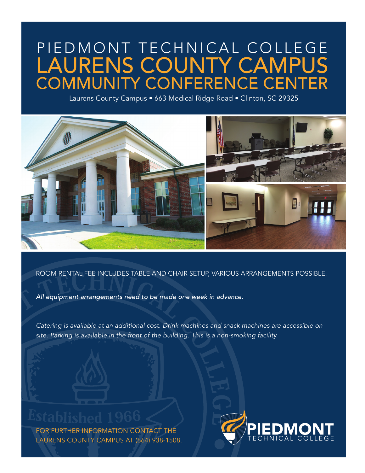# PIEDMONT TECHNICAL COLLEGE COMMUNITY CONFERENCE CENTER LAURENS COUNTY CAMPUS

Laurens County Campus • 663 Medical Ridge Road • Clinton, SC 29325



ROOM RENTAL FEE INCLUDES TABLE AND CHAIR SETUP, VARIOUS ARRANGEMENTS POSSIBLE.

*All equipment arrangements need to be made one week in advance.*

*Catering is available at an additional cost. Drink machines and snack machines are accessible on site. Parking is available in the front of the building. This is a non-smoking facility.* 

FOR FURTHER INFORMATION CONTACT THE LAURENS COUNTY CAMPUS AT (864) 938-1508.